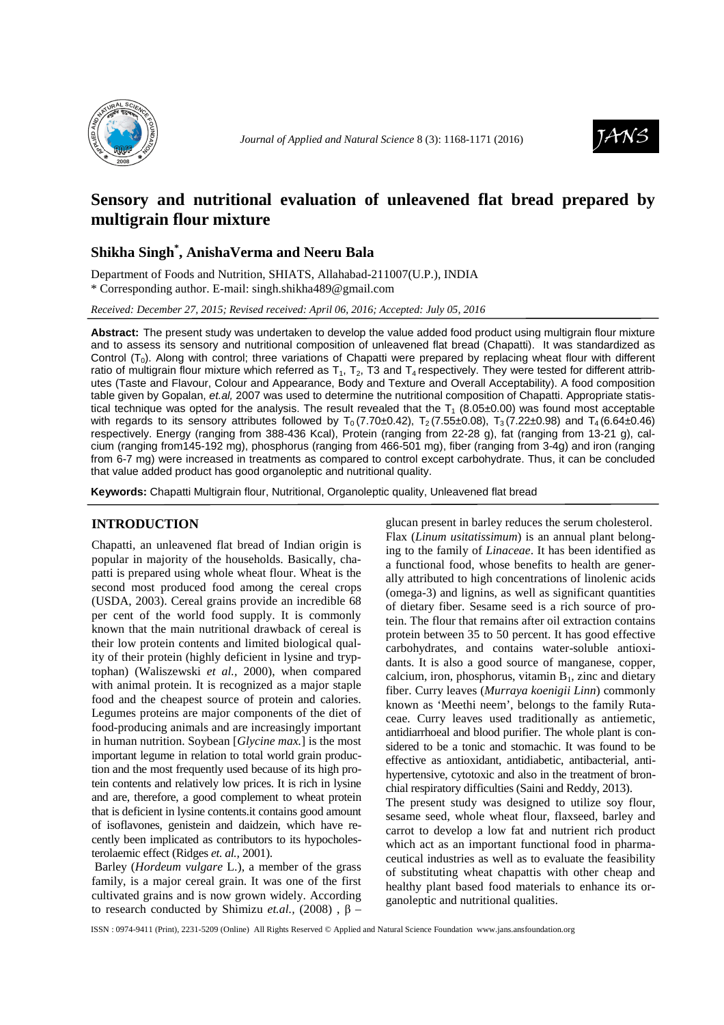



# **Sensory and nutritional evaluation of unleavened flat bread prepared by multigrain flour mixture**

## **Shikha Singh\* , AnishaVerma and Neeru Bala**

Department of Foods and Nutrition, SHIATS, Allahabad-211007(U.P.), INDIA \* Corresponding author. E-mail: singh.shikha489@gmail.com

*Received: December 27, 2015; Revised received: April 06, 2016; Accepted: July 05, 2016*

**Abstract:** The present study was undertaken to develop the value added food product using multigrain flour mixture and to assess its sensory and nutritional composition of unleavened flat bread (Chapatti). It was standardized as Control  $(T_0)$ . Along with control; three variations of Chapatti were prepared by replacing wheat flour with different ratio of multigrain flour mixture which referred as  $T_1$ ,  $T_2$ , T3 and  $T_4$  respectively. They were tested for different attributes (Taste and Flavour, Colour and Appearance, Body and Texture and Overall Acceptability). A food composition table given by Gopalan, et.al, 2007 was used to determine the nutritional composition of Chapatti. Appropriate statistical technique was opted for the analysis. The result revealed that the  $T_1$  (8.05±0.00) was found most acceptable with regards to its sensory attributes followed by  $T_0 (7.70 \pm 0.42)$ ,  $T_2 (7.55 \pm 0.08)$ ,  $T_3 (7.22 \pm 0.98)$  and  $T_4 (6.64 \pm 0.46)$ respectively. Energy (ranging from 388-436 Kcal), Protein (ranging from 22-28 g), fat (ranging from 13-21 g), calcium (ranging from145-192 mg), phosphorus (ranging from 466-501 mg), fiber (ranging from 3-4g) and iron (ranging from 6-7 mg) were increased in treatments as compared to control except carbohydrate. Thus, it can be concluded that value added product has good organoleptic and nutritional quality.

**Keywords:** Chapatti Multigrain flour, Nutritional, Organoleptic quality, Unleavened flat bread

## **INTRODUCTION**

Chapatti, an unleavened flat bread of Indian origin is popular in majority of the households. Basically, chapatti is prepared using whole wheat flour. Wheat is the second most produced food among the cereal crops (USDA, 2003). Cereal grains provide an incredible 68 per cent of the world food supply. It is commonly known that the main nutritional drawback of cereal is their low protein contents and limited biological quality of their protein (highly deficient in lysine and tryptophan) (Waliszewski *et al.,* 2000), when compared with animal protein. It is recognized as a major staple food and the cheapest source of protein and calories. Legumes proteins are major components of the diet of food-producing animals and are increasingly important in human nutrition. Soybean [*Glycine max.*] is the most important legume in relation to total world grain production and the most frequently used because of its high protein contents and relatively low prices. It is rich in lysine and are, therefore, a good complement to wheat protein that is deficient in lysine contents.it contains good amount of isoflavones, genistein and daidzein, which have recently been implicated as contributors to its hypocholesterolaemic effect (Ridges *et. al.,* 2001).

 Barley (*Hordeum vulgare* L.), a member of the grass family, is a major cereal grain. It was one of the first cultivated grains and is now grown widely. According to research conducted by Shimizu *et.al.*, (2008),  $β$  –

glucan present in barley reduces the serum cholesterol. Flax (*Linum usitatissimum*) is an annual plant belonging to the family of *Linaceae*. It has been identified as a functional food, whose benefits to health are generally attributed to high concentrations of linolenic acids (omega-3) and lignins, as well as significant quantities of dietary fiber. Sesame seed is a rich source of protein. The flour that remains after oil extraction contains protein between 35 to 50 percent. It has good effective carbohydrates, and contains water-soluble antioxidants. It is also a good source of manganese, copper, calcium, iron, phosphorus, vitamin  $B_1$ , zinc and dietary fiber. Curry leaves (*Murraya koenigii Linn*) commonly known as 'Meethi neem', belongs to the family Rutaceae. Curry leaves used traditionally as antiemetic, antidiarrhoeal and blood purifier. The whole plant is considered to be a tonic and stomachic. It was found to be effective as antioxidant, antidiabetic, antibacterial, antihypertensive, cytotoxic and also in the treatment of bronchial respiratory difficulties (Saini and Reddy, 2013).

The present study was designed to utilize soy flour, sesame seed, whole wheat flour, flaxseed, barley and carrot to develop a low fat and nutrient rich product which act as an important functional food in pharmaceutical industries as well as to evaluate the feasibility of substituting wheat chapattis with other cheap and healthy plant based food materials to enhance its organoleptic and nutritional qualities.

ISSN : 0974-9411 (Print), 2231-5209 (Online) All Rights Reserved © Applied and Natural Science Foundation www.jans.ansfoundation.org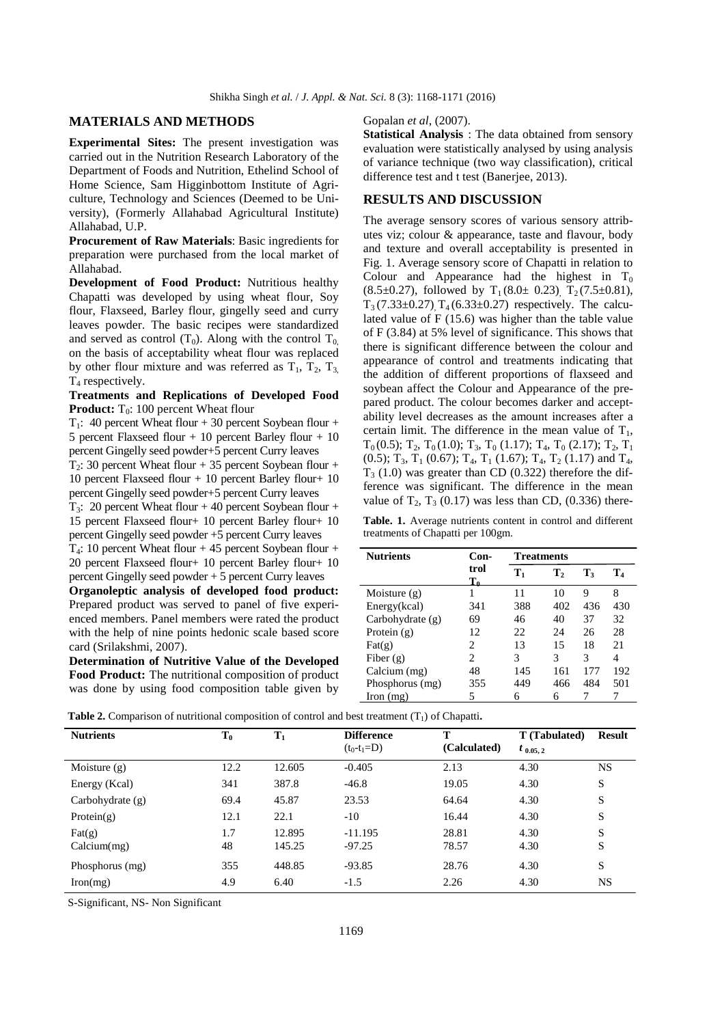#### **MATERIALS AND METHODS**

**Experimental Sites:** The present investigation was carried out in the Nutrition Research Laboratory of the Department of Foods and Nutrition, Ethelind School of Home Science, Sam Higginbottom Institute of Agriculture, Technology and Sciences (Deemed to be University), (Formerly Allahabad Agricultural Institute) Allahabad, U.P.

**Procurement of Raw Materials**: Basic ingredients for preparation were purchased from the local market of Allahabad.

**Development of Food Product:** Nutritious healthy Chapatti was developed by using wheat flour, Soy flour, Flaxseed, Barley flour, gingelly seed and curry leaves powder. The basic recipes were standardized and served as control  $(T_0)$ . Along with the control  $T_{0}$ , on the basis of acceptability wheat flour was replaced by other flour mixture and was referred as  $T_1$ ,  $T_2$ ,  $T_3$ ,  $T_4$  respectively.

**Treatments and Replications of Developed Food Product:** T<sub>0</sub>: 100 percent Wheat flour

 $T_1$ : 40 percent Wheat flour + 30 percent Soybean flour + 5 percent Flaxseed flour + 10 percent Barley flour + 10 percent Gingelly seed powder+5 percent Curry leaves

 $T_2$ : 30 percent Wheat flour + 35 percent Soybean flour + 10 percent Flaxseed flour + 10 percent Barley flour+ 10 percent Gingelly seed powder+5 percent Curry leaves

 $T_3$ : 20 percent Wheat flour + 40 percent Soybean flour + 15 percent Flaxseed flour+ 10 percent Barley flour+ 10 percent Gingelly seed powder +5 percent Curry leaves

 $T_4$ : 10 percent Wheat flour + 45 percent Soybean flour + 20 percent Flaxseed flour+ 10 percent Barley flour+ 10 percent Gingelly seed powder + 5 percent Curry leaves

**Organoleptic analysis of developed food product:**  Prepared product was served to panel of five experienced members. Panel members were rated the product with the help of nine points hedonic scale based score card (Srilakshmi, 2007).

**Determination of Nutritive Value of the Developed Food Product:** The nutritional composition of product was done by using food composition table given by Gopalan *et al*, (2007).

**Statistical Analysis** : The data obtained from sensory evaluation were statistically analysed by using analysis of variance technique (two way classification), critical difference test and t test (Banerjee, 2013).

## **RESULTS AND DISCUSSION**

The average sensory scores of various sensory attributes viz; colour & appearance, taste and flavour, body and texture and overall acceptability is presented in Fig. 1. Average sensory score of Chapatti in relation to Colour and Appearance had the highest in  $T_0$  $(8.5\pm0.27)$ , followed by T<sub>1</sub>(8.0 $\pm$  0.23), T<sub>2</sub>(7.5 $\pm$ 0.81),  $T_3$  (7.33±0.27),  $T_4$  (6.33±0.27) respectively. The calculated value of F (15.6) was higher than the table value of F (3.84) at 5% level of significance. This shows that there is significant difference between the colour and appearance of control and treatments indicating that the addition of different proportions of flaxseed and soybean affect the Colour and Appearance of the prepared product. The colour becomes darker and acceptability level decreases as the amount increases after a certain limit. The difference in the mean value of  $T_1$ ,  $T_0(0.5)$ ;  $T_2$ ,  $T_0(1.0)$ ;  $T_3$ ,  $T_0(1.17)$ ;  $T_4$ ,  $T_0(2.17)$ ;  $T_2$ ,  $T_1$ (0.5);  $T_3$ ,  $T_1$  (0.67);  $T_4$ ,  $T_1$  (1.67);  $T_4$ ,  $T_2$  (1.17) and  $T_4$ ,  $T<sub>3</sub>$  (1.0) was greater than CD (0.322) therefore the difference was significant. The difference in the mean value of  $T_2$ ,  $T_3$  (0.17) was less than CD, (0.336) there-

**Table. 1.** Average nutrients content in control and different treatments of Chapatti per 100gm*.* 

| <b>Nutrients</b>         | Con-<br><b>Treatments</b> |                |                |     |     |
|--------------------------|---------------------------|----------------|----------------|-----|-----|
|                          | trol<br>$T_{\rm a}$       | $\mathbf{T}_1$ | $\mathbf{T}_2$ | T,  | T4  |
| Moisture $(g)$           |                           | 11             | 10             | 9   | 8   |
| Energy(kcal)             | 341                       | 388            | 402            | 436 | 430 |
| Carbohydrate $(g)$       | 69                        | 46             | 40             | 37  | 32  |
| Protein $(g)$            | 12                        | 22             | 24             | 26  | 28  |
| $\text{Fat}(\mathbf{g})$ | 2                         | 13             | 15             | 18  | 21  |
| Fiber $(g)$              | 2                         | 3              | 3              | 3   | 4   |
| Calcium (mg)             | 48                        | 145            | 161            | 177 | 192 |
| Phosphorus (mg)          | 355                       | 449            | 466            | 484 | 501 |
| $\Gamma$ Iron $(mg)$     | 5                         | 6              | 6              |     |     |

| <b>Table 2.</b> Comparison of nutritional composition of control and best treatment $(T_1)$ of Chapatti. |  |  |
|----------------------------------------------------------------------------------------------------------|--|--|
|----------------------------------------------------------------------------------------------------------|--|--|

| <b>Nutrients</b>   | $T_0$ | $T_1$  | <b>Difference</b> | T            | T (Tabulated) | <b>Result</b> |
|--------------------|-------|--------|-------------------|--------------|---------------|---------------|
|                    |       |        | $(t_0-t_1=D)$     | (Calculated) | $t_{0.05, 2}$ |               |
| Moisture $(g)$     | 12.2  | 12.605 | $-0.405$          | 2.13         | 4.30          | <b>NS</b>     |
| Energy (Kcal)      | 341   | 387.8  | $-46.8$           | 19.05        | 4.30          | S             |
| Carbohydrate $(g)$ | 69.4  | 45.87  | 23.53             | 64.64        | 4.30          | S             |
| Protein $(g)$      | 12.1  | 22.1   | $-10$             | 16.44        | 4.30          | S             |
| $\text{Fat}(g)$    | 1.7   | 12.895 | $-11.195$         | 28.81        | 4.30          | S             |
| Calcium(mg)        | 48    | 145.25 | $-97.25$          | 78.57        | 4.30          | S             |
| Phosphorus (mg)    | 355   | 448.85 | $-93.85$          | 28.76        | 4.30          | S             |
| Iron(mg)           | 4.9   | 6.40   | $-1.5$            | 2.26         | 4.30          | <b>NS</b>     |

S-Significant, NS- Non Significant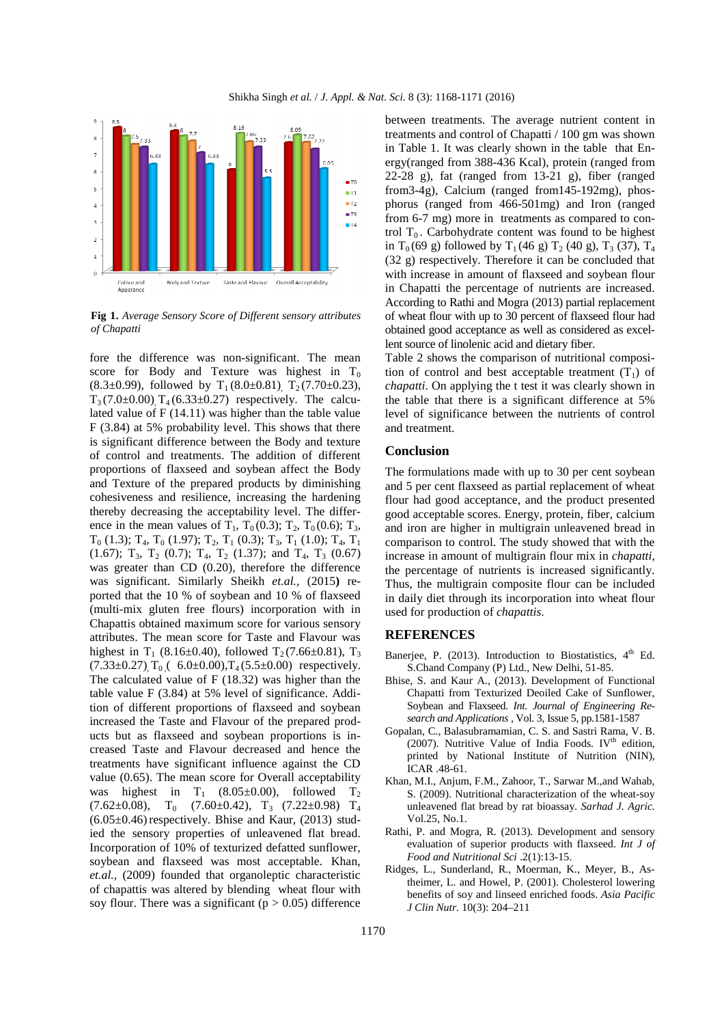

**Fig 1.** *Average Sensory Score of Different sensory attributes of Chapatti*

fore the difference was non-significant. The mean score for Body and Texture was highest in  $T_0$  $(8.3\pm0.99)$ , followed by T<sub>1</sub>(8.0 $\pm$ 0.81), T<sub>2</sub>(7.70 $\pm$ 0.23),  $T_3 (7.0 \pm 0.00)$   $T_4 (6.33 \pm 0.27)$  respectively. The calculated value of F (14.11) was higher than the table value F (3.84) at 5% probability level. This shows that there is significant difference between the Body and texture of control and treatments. The addition of different proportions of flaxseed and soybean affect the Body and Texture of the prepared products by diminishing cohesiveness and resilience, increasing the hardening thereby decreasing the acceptability level. The difference in the mean values of  $T_1$ ,  $T_0 (0.3)$ ;  $T_2$ ,  $T_0 (0.6)$ ;  $T_3$ ,  $T_0$  (1.3);  $T_4$ ,  $T_0$  (1.97);  $T_2$ ,  $T_1$  (0.3);  $T_3$ ,  $T_1$  (1.0);  $T_4$ ,  $T_1$  $(1.67)$ ; T<sub>3</sub>, T<sub>2</sub>  $(0.7)$ ; T<sub>4</sub>, T<sub>2</sub>  $(1.37)$ ; and T<sub>4</sub>, T<sub>3</sub>  $(0.67)$ was greater than CD (0.20), therefore the difference was significant. Similarly Sheikh *et.al.,* (2015**)** reported that the 10 % of soybean and 10 % of flaxseed (multi-mix gluten free flours) incorporation with in Chapattis obtained maximum score for various sensory attributes. The mean score for Taste and Flavour was highest in T<sub>1</sub> (8.16±0.40), followed T<sub>2</sub> (7.66±0.81), T<sub>3</sub>  $(7.33\pm0.27)$ , T<sub>0</sub> (6.0 $\pm$ 0.00), T<sub>4</sub> (5.5 $\pm$ 0.00) respectively. The calculated value of F (18.32) was higher than the table value F (3.84) at 5% level of significance. Addition of different proportions of flaxseed and soybean increased the Taste and Flavour of the prepared products but as flaxseed and soybean proportions is increased Taste and Flavour decreased and hence the treatments have significant influence against the CD value (0.65). The mean score for Overall acceptability was highest in  $T_1$  (8.05±0.00), followed  $T_2$  $(7.62\pm0.08)$ , T<sub>0</sub>  $(7.60\pm0.42)$ , T<sub>3</sub>  $(7.22\pm0.98)$  T<sub>4</sub>  $(6.05\pm0.46)$  respectively. Bhise and Kaur, (2013) studied the sensory properties of unleavened flat bread. Incorporation of 10% of texturized defatted sunflower, soybean and flaxseed was most acceptable. Khan, *et.al.,* (2009) founded that organoleptic characteristic of chapattis was altered by blending wheat flour with soy flour. There was a significant ( $p > 0.05$ ) difference

between treatments. The average nutrient content in treatments and control of Chapatti / 100 gm was shown in Table 1. It was clearly shown in the table that Energy(ranged from 388-436 Kcal), protein (ranged from 22-28 g), fat (ranged from 13-21 g), fiber (ranged from3-4g), Calcium (ranged from145-192mg), phosphorus (ranged from 466-501mg) and Iron (ranged from 6-7 mg) more in treatments as compared to control  $T_0$ . Carbohydrate content was found to be highest in T<sub>0</sub> (69 g) followed by T<sub>1</sub> (46 g) T<sub>2</sub> (40 g), T<sub>3</sub> (37), T<sub>4</sub> (32 g) respectively. Therefore it can be concluded that with increase in amount of flaxseed and soybean flour in Chapatti the percentage of nutrients are increased. According to Rathi and Mogra (2013) partial replacement of wheat flour with up to 30 percent of flaxseed flour had obtained good acceptance as well as considered as excellent source of linolenic acid and dietary fiber.

Table 2 shows the comparison of nutritional composition of control and best acceptable treatment  $(T_1)$  of *chapatti*. On applying the t test it was clearly shown in the table that there is a significant difference at 5% level of significance between the nutrients of control and treatment.

### **Conclusion**

The formulations made with up to 30 per cent soybean and 5 per cent flaxseed as partial replacement of wheat flour had good acceptance, and the product presented good acceptable scores. Energy, protein, fiber, calcium and iron are higher in multigrain unleavened bread in comparison to control. The study showed that with the increase in amount of multigrain flour mix in *chapatti,* the percentage of nutrients is increased significantly. Thus, the multigrain composite flour can be included in daily diet through its incorporation into wheat flour used for production of *chapattis*.

#### **REFERENCES**

- Banerjee, P.  $(2013)$ . Introduction to Biostatistics,  $4<sup>th</sup>$  Ed. S.Chand Company (P) Ltd., New Delhi, 51-85.
- Bhise, S. and Kaur A., (2013). Development of Functional Chapatti from Texturized Deoiled Cake of Sunflower, Soybean and Flaxseed. *Int. Journal of Engineering Research and Applications* , Vol. 3, Issue 5, pp.1581-1587
- Gopalan, C., Balasubramamian, C. S. and Sastri Rama, V. B. (2007). Nutritive Value of India Foods. IV<sup>th</sup> edition, printed by National Institute of Nutrition (NIN), ICAR .48-61.
- Khan, M.I., Anjum, F.M., Zahoor, T., Sarwar M.,and Wahab, S. (2009). Nutritional characterization of the wheat-soy unleavened flat bread by rat bioassay. *Sarhad J. Agric.* Vol.25, No.1.
- Rathi, P. and Mogra, R. (2013). Development and sensory evaluation of superior products with flaxseed. *Int J of Food and Nutritional Sci* .2(1):13-15.
- Ridges, L., Sunderland, R., Moerman, K., Meyer, B., Astheimer, L. and Howel, P. (2001). Cholesterol lowering benefits of soy and linseed enriched foods. *Asia Pacific J Clin Nutr.* 10(3): 204–211